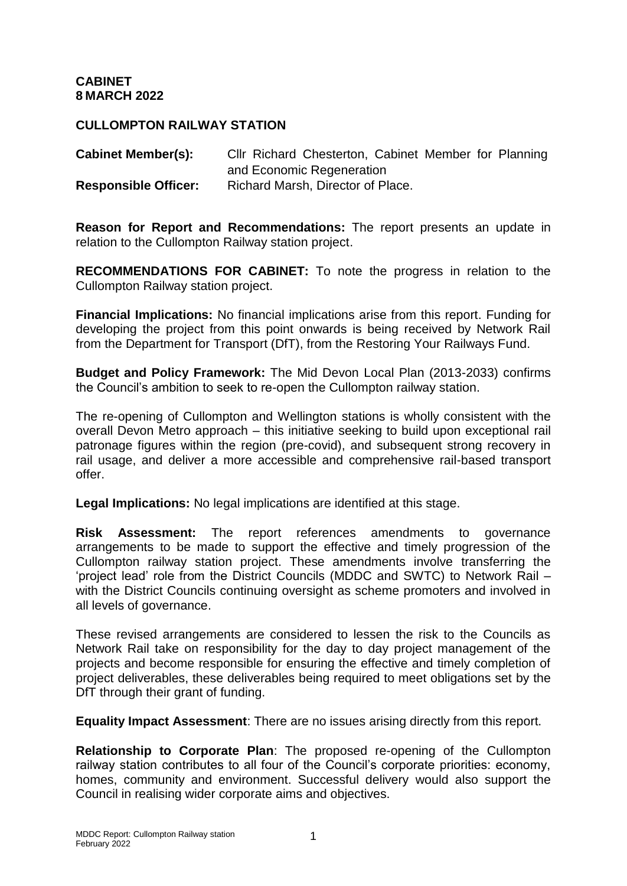## **CULLOMPTON RAILWAY STATION**

**Cabinet Member(s):** Cllr Richard Chesterton, Cabinet Member for Planning and Economic Regeneration **Responsible Officer:** Richard Marsh, Director of Place.

**Reason for Report and Recommendations:** The report presents an update in relation to the Cullompton Railway station project.

**RECOMMENDATIONS FOR CABINET:** To note the progress in relation to the Cullompton Railway station project.

**Financial Implications:** No financial implications arise from this report. Funding for developing the project from this point onwards is being received by Network Rail from the Department for Transport (DfT), from the Restoring Your Railways Fund.

**Budget and Policy Framework:** The Mid Devon Local Plan (2013-2033) confirms the Council's ambition to seek to re-open the Cullompton railway station.

The re-opening of Cullompton and Wellington stations is wholly consistent with the overall Devon Metro approach – this initiative seeking to build upon exceptional rail patronage figures within the region (pre-covid), and subsequent strong recovery in rail usage, and deliver a more accessible and comprehensive rail-based transport offer.

**Legal Implications:** No legal implications are identified at this stage.

**Risk Assessment:** The report references amendments to governance arrangements to be made to support the effective and timely progression of the Cullompton railway station project. These amendments involve transferring the 'project lead' role from the District Councils (MDDC and SWTC) to Network Rail – with the District Councils continuing oversight as scheme promoters and involved in all levels of governance.

These revised arrangements are considered to lessen the risk to the Councils as Network Rail take on responsibility for the day to day project management of the projects and become responsible for ensuring the effective and timely completion of project deliverables, these deliverables being required to meet obligations set by the DfT through their grant of funding.

**Equality Impact Assessment**: There are no issues arising directly from this report.

**Relationship to Corporate Plan**: The proposed re-opening of the Cullompton railway station contributes to all four of the Council's corporate priorities: economy, homes, community and environment. Successful delivery would also support the Council in realising wider corporate aims and objectives.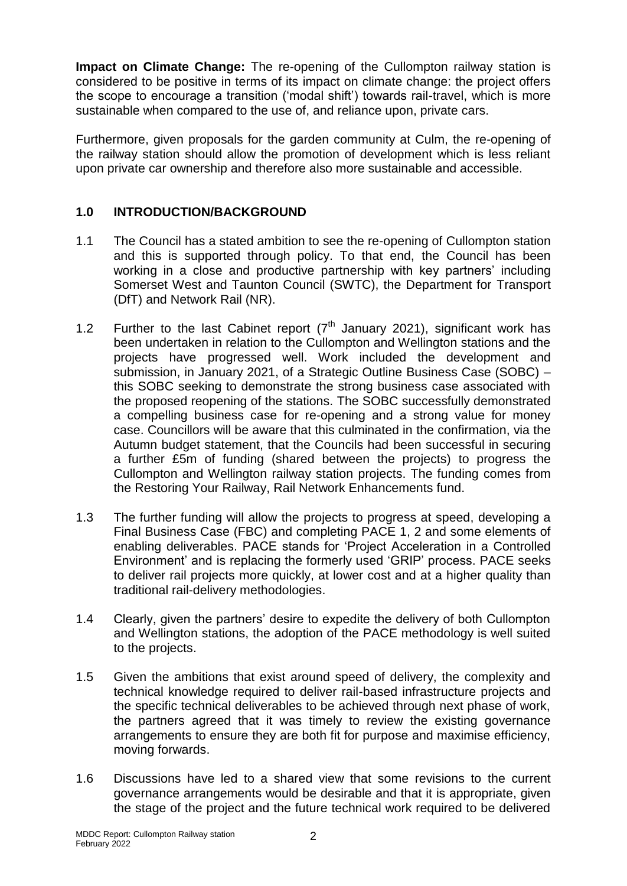**Impact on Climate Change:** The re-opening of the Cullompton railway station is considered to be positive in terms of its impact on climate change: the project offers the scope to encourage a transition ('modal shift') towards rail-travel, which is more sustainable when compared to the use of, and reliance upon, private cars.

Furthermore, given proposals for the garden community at Culm, the re-opening of the railway station should allow the promotion of development which is less reliant upon private car ownership and therefore also more sustainable and accessible.

## **1.0 INTRODUCTION/BACKGROUND**

- 1.1 The Council has a stated ambition to see the re-opening of Cullompton station and this is supported through policy. To that end, the Council has been working in a close and productive partnership with key partners' including Somerset West and Taunton Council (SWTC), the Department for Transport (DfT) and Network Rail (NR).
- 1.2 Further to the last Cabinet report  $(7<sup>th</sup>$  January 2021), significant work has been undertaken in relation to the Cullompton and Wellington stations and the projects have progressed well. Work included the development and submission, in January 2021, of a Strategic Outline Business Case (SOBC) – this SOBC seeking to demonstrate the strong business case associated with the proposed reopening of the stations. The SOBC successfully demonstrated a compelling business case for re-opening and a strong value for money case. Councillors will be aware that this culminated in the confirmation, via the Autumn budget statement, that the Councils had been successful in securing a further £5m of funding (shared between the projects) to progress the Cullompton and Wellington railway station projects. The funding comes from the Restoring Your Railway, Rail Network Enhancements fund.
- 1.3 The further funding will allow the projects to progress at speed, developing a Final Business Case (FBC) and completing PACE 1, 2 and some elements of enabling deliverables. PACE stands for 'Project Acceleration in a Controlled Environment' and is replacing the formerly used 'GRIP' process. PACE seeks to deliver rail projects more quickly, at lower cost and at a higher quality than traditional rail-delivery methodologies.
- 1.4 Clearly, given the partners' desire to expedite the delivery of both Cullompton and Wellington stations, the adoption of the PACE methodology is well suited to the projects.
- 1.5 Given the ambitions that exist around speed of delivery, the complexity and technical knowledge required to deliver rail-based infrastructure projects and the specific technical deliverables to be achieved through next phase of work, the partners agreed that it was timely to review the existing governance arrangements to ensure they are both fit for purpose and maximise efficiency, moving forwards.
- 1.6 Discussions have led to a shared view that some revisions to the current governance arrangements would be desirable and that it is appropriate, given the stage of the project and the future technical work required to be delivered